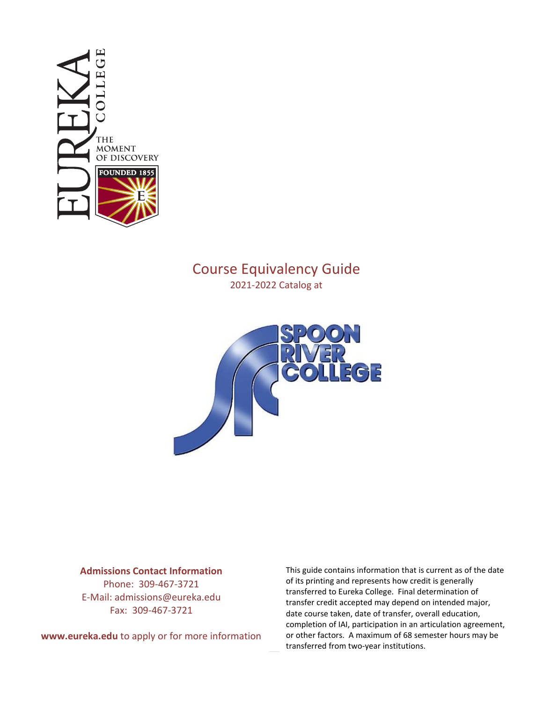

## Course Equivalency Guide 2021-2022 Catalog at



## **Admissions Contact Information**

Phone: 309-467-3721 E-Mail: admissions@eureka.edu Fax: 309-467-3721

**www.eureka.edu** to apply or for more information

This guide contains information that is current as of the date of its printing and represents how credit is generally transferred to Eureka College. Final determination of transfer credit accepted may depend on intended major, date course taken, date of transfer, overall education, completion of IAI, participation in an articulation agreement, or other factors. A maximum of 68 semester hours may be transferred from two-year institutions.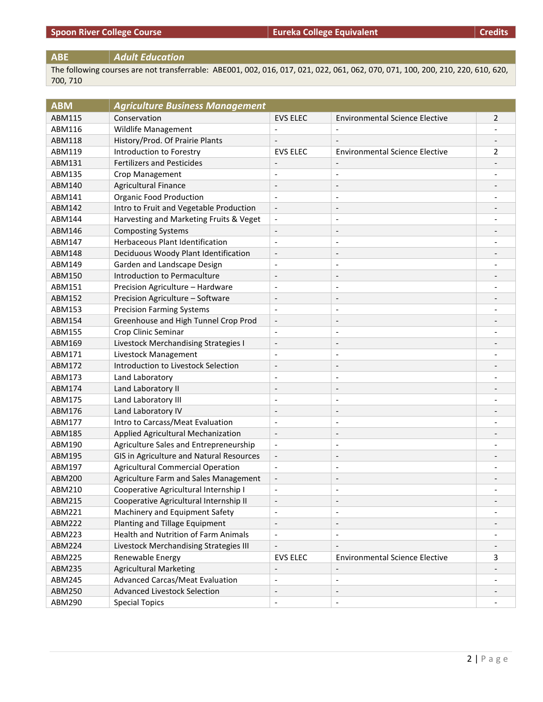## **ABE** *Adult Education*

The following courses are not transferrable: ABE001, 002, 016, 017, 021, 022, 061, 062, 070, 071, 100, 200, 210, 220, 610, 620, 700, 710

| <b>ABM</b>    | <b>Agriculture Business Management</b>   |                          |                                       |                              |
|---------------|------------------------------------------|--------------------------|---------------------------------------|------------------------------|
| <b>ABM115</b> | Conservation                             | <b>EVS ELEC</b>          | <b>Environmental Science Elective</b> | 2                            |
| ABM116        | Wildlife Management                      | $\overline{\phantom{a}}$ |                                       |                              |
| ABM118        | History/Prod. Of Prairie Plants          |                          |                                       |                              |
| ABM119        | Introduction to Forestry                 | <b>EVS ELEC</b>          | <b>Environmental Science Elective</b> | $\overline{2}$               |
| ABM131        | <b>Fertilizers and Pesticides</b>        | $\overline{\phantom{a}}$ | $\overline{\phantom{a}}$              | $\qquad \qquad \blacksquare$ |
| ABM135        | Crop Management                          | $\overline{\phantom{a}}$ | $\overline{\phantom{a}}$              | $\overline{\phantom{0}}$     |
| ABM140        | <b>Agricultural Finance</b>              | $\overline{\phantom{a}}$ | $\overline{\phantom{a}}$              |                              |
| ABM141        | <b>Organic Food Production</b>           | $\overline{\phantom{a}}$ | $\overline{\phantom{a}}$              |                              |
| ABM142        | Intro to Fruit and Vegetable Production  | $\overline{\phantom{a}}$ | $\overline{\phantom{a}}$              | $\overline{\phantom{a}}$     |
| ABM144        | Harvesting and Marketing Fruits & Veget  | $\overline{\phantom{a}}$ | $\overline{\phantom{a}}$              | $\qquad \qquad \blacksquare$ |
| ABM146        | <b>Composting Systems</b>                | $\overline{\phantom{a}}$ | $\overline{\phantom{a}}$              |                              |
| ABM147        | Herbaceous Plant Identification          | $\overline{\phantom{a}}$ |                                       |                              |
| <b>ABM148</b> | Deciduous Woody Plant Identification     | $\overline{\phantom{a}}$ | $\overline{\phantom{m}}$              | $\overline{\phantom{a}}$     |
| ABM149        | Garden and Landscape Design              | $\overline{\phantom{a}}$ | $\overline{\phantom{a}}$              | $\overline{\phantom{a}}$     |
| ABM150        | Introduction to Permaculture             | $\overline{\phantom{a}}$ | $\overline{\phantom{a}}$              | $\overline{\phantom{a}}$     |
| ABM151        | Precision Agriculture - Hardware         | $\overline{\phantom{a}}$ | $\overline{\phantom{a}}$              |                              |
| ABM152        | Precision Agriculture - Software         | $\overline{\phantom{a}}$ | $\qquad \qquad \blacksquare$          |                              |
| ABM153        | <b>Precision Farming Systems</b>         | $\overline{\phantom{a}}$ | $\overline{\phantom{a}}$              | $\qquad \qquad \blacksquare$ |
| ABM154        | Greenhouse and High Tunnel Crop Prod     | $\blacksquare$           | $\overline{\phantom{a}}$              |                              |
| ABM155        | Crop Clinic Seminar                      | $\overline{\phantom{a}}$ | $\overline{\phantom{a}}$              |                              |
| ABM169        | Livestock Merchandising Strategies I     | $\overline{\phantom{a}}$ | $\overline{a}$                        |                              |
| ABM171        | Livestock Management                     | $\overline{\phantom{a}}$ | $\overline{\phantom{a}}$              | $\overline{\phantom{0}}$     |
| ABM172        | Introduction to Livestock Selection      | $\overline{\phantom{a}}$ | $\overline{\phantom{a}}$              | $\qquad \qquad -$            |
| ABM173        | Land Laboratory                          | $\overline{\phantom{a}}$ | $\overline{\phantom{a}}$              |                              |
| ABM174        | Land Laboratory II                       | $\overline{\phantom{a}}$ | $\overline{\phantom{a}}$              |                              |
| ABM175        | Land Laboratory III                      | $\overline{\phantom{a}}$ | $\overline{\phantom{a}}$              | $\qquad \qquad \blacksquare$ |
| ABM176        | Land Laboratory IV                       | $\overline{\phantom{a}}$ | $\overline{\phantom{a}}$              |                              |
| ABM177        | Intro to Carcass/Meat Evaluation         | $\overline{\phantom{a}}$ |                                       |                              |
| ABM185        | Applied Agricultural Mechanization       | $\overline{\phantom{a}}$ | $\overline{\phantom{a}}$              |                              |
| ABM190        | Agriculture Sales and Entrepreneurship   | $\overline{\phantom{a}}$ | $\overline{\phantom{a}}$              | $\qquad \qquad \blacksquare$ |
| ABM195        | GIS in Agriculture and Natural Resources | $\overline{\phantom{a}}$ | $\qquad \qquad \blacksquare$          | $\overline{\phantom{a}}$     |
| ABM197        | <b>Agricultural Commercial Operation</b> | $\blacksquare$           | $\overline{\phantom{a}}$              |                              |
| ABM200        | Agriculture Farm and Sales Management    | $\overline{\phantom{m}}$ | $\overline{a}$                        |                              |
| ABM210        | Cooperative Agricultural Internship I    | $\overline{\phantom{a}}$ |                                       |                              |
| ABM215        | Cooperative Agricultural Internship II   | $\overline{\phantom{a}}$ | $\overline{\phantom{a}}$              | $\overline{\phantom{a}}$     |
| ABM221        | Machinery and Equipment Safety           | $\overline{\phantom{a}}$ | $\overline{\phantom{a}}$              |                              |
| ABM222        | Planting and Tillage Equipment           | $\overline{\phantom{a}}$ | $\overline{\phantom{a}}$              |                              |
| ABM223        | Health and Nutrition of Farm Animals     | $\overline{\phantom{a}}$ | $\overline{\phantom{a}}$              |                              |
| ABM224        | Livestock Merchandising Strategies III   | $\overline{\phantom{a}}$ | $\overline{\phantom{a}}$              | $\overline{\phantom{a}}$     |
| ABM225        | Renewable Energy                         | <b>EVS ELEC</b>          | <b>Environmental Science Elective</b> | 3                            |
| ABM235        | <b>Agricultural Marketing</b>            | $\overline{\phantom{a}}$ |                                       |                              |
| ABM245        | Advanced Carcas/Meat Evaluation          | $\overline{\phantom{a}}$ | $\overline{\phantom{a}}$              |                              |
| ABM250        | <b>Advanced Livestock Selection</b>      | $\overline{\phantom{a}}$ | $\overline{\phantom{a}}$              |                              |
| ABM290        | <b>Special Topics</b>                    | $\overline{\phantom{a}}$ | $\overline{\phantom{a}}$              |                              |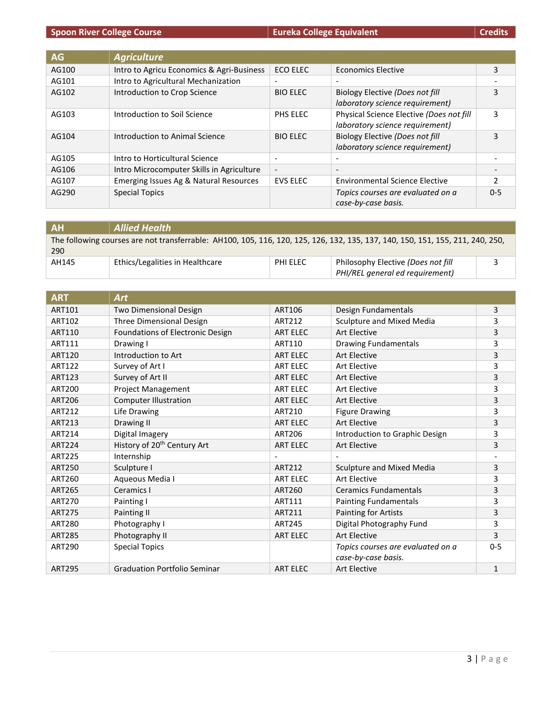| Credits |  |  |
|---------|--|--|
|         |  |  |

| AG    | <b>Agriculture</b>                        |                          |                                          |               |
|-------|-------------------------------------------|--------------------------|------------------------------------------|---------------|
| AG100 | Intro to Agricu Economics & Agri-Business | <b>ECO ELEC</b>          | <b>Economics Elective</b>                | 3             |
| AG101 | Intro to Agricultural Mechanization       | $\overline{\phantom{a}}$ |                                          |               |
| AG102 | Introduction to Crop Science              | <b>BIO ELEC</b>          | Biology Elective (Does not fill          | 3             |
|       |                                           |                          | laboratory science requirement)          |               |
| AG103 | Introduction to Soil Science              | PHS ELEC                 | Physical Science Elective (Does not fill | 3             |
|       |                                           |                          | laboratory science requirement)          |               |
| AG104 | Introduction to Animal Science            | <b>BIO ELEC</b>          | Biology Elective (Does not fill          | 3             |
|       |                                           |                          | laboratory science requirement)          |               |
| AG105 | Intro to Horticultural Science            | $\overline{\phantom{0}}$ |                                          |               |
| AG106 | Intro Microcomputer Skills in Agriculture | $\overline{\phantom{0}}$ | $\overline{\phantom{0}}$                 |               |
| AG107 | Emerging Issues Ag & Natural Resources    | <b>EVS ELEC</b>          | <b>Environmental Science Elective</b>    | $\mathcal{P}$ |
| AG290 | <b>Special Topics</b>                     |                          | Topics courses are evaluated on a        | $0 - 5$       |
|       |                                           |                          | case-by-case basis.                      |               |

| <b>AH</b> | <b>Allied Health</b>                                                                                                           |          |                                                                       |  |
|-----------|--------------------------------------------------------------------------------------------------------------------------------|----------|-----------------------------------------------------------------------|--|
| 290       | The following courses are not transferrable: AH100, 105, 116, 120, 125, 126, 132, 135, 137, 140, 150, 151, 155, 211, 240, 250, |          |                                                                       |  |
| AH145     | Ethics/Legalities in Healthcare                                                                                                | PHI ELEC | Philosophy Elective (Does not fill<br>PHI/REL general ed requirement) |  |

| <b>ART</b>    | <b>Art</b>                              |                          |                                   |         |
|---------------|-----------------------------------------|--------------------------|-----------------------------------|---------|
| <b>ART101</b> | Two Dimensional Design                  | ART106                   | Design Fundamentals               | 3       |
| ART102        | Three Dimensional Design                | ART212                   | Sculpture and Mixed Media         | 3       |
| <b>ART110</b> | Foundations of Electronic Design        | <b>ART ELEC</b>          | <b>Art Elective</b>               | 3       |
| ART111        | Drawing I                               | ART110                   | <b>Drawing Fundamentals</b>       | 3       |
| <b>ART120</b> | Introduction to Art                     | <b>ART ELEC</b>          | <b>Art Elective</b>               | 3       |
| <b>ART122</b> | Survey of Art I                         | <b>ART ELEC</b>          | Art Elective                      | 3       |
| <b>ART123</b> | Survey of Art II                        | <b>ART ELEC</b>          | <b>Art Elective</b>               | 3       |
| <b>ART200</b> | <b>Project Management</b>               | <b>ART ELEC</b>          | <b>Art Elective</b>               | 3       |
| <b>ART206</b> | <b>Computer Illustration</b>            | <b>ART ELEC</b>          | <b>Art Elective</b>               | 3       |
| ART212        | Life Drawing                            | ART210                   | <b>Figure Drawing</b>             | 3       |
| ART213        | Drawing II                              | <b>ART ELEC</b>          | <b>Art Elective</b>               | 3       |
| ART214        | Digital Imagery                         | <b>ART206</b>            | Introduction to Graphic Design    | 3       |
| <b>ART224</b> | History of 20 <sup>th</sup> Century Art | <b>ART ELEC</b>          | <b>Art Elective</b>               | 3       |
| <b>ART225</b> | Internship                              | $\overline{\phantom{a}}$ |                                   |         |
| <b>ART250</b> | Sculpture I                             | ART212                   | Sculpture and Mixed Media         | 3       |
| <b>ART260</b> | Aqueous Media I                         | <b>ART ELEC</b>          | <b>Art Elective</b>               | 3       |
| <b>ART265</b> | Ceramics I                              | ART260                   | <b>Ceramics Fundamentals</b>      | 3       |
| <b>ART270</b> | Painting I                              | ART111                   | <b>Painting Fundamentals</b>      | 3       |
| <b>ART275</b> | Painting II                             | ART211                   | Painting for Artists              | 3       |
| <b>ART280</b> | Photography I                           | <b>ART245</b>            | Digital Photography Fund          | 3       |
| <b>ART285</b> | Photography II                          | <b>ART ELEC</b>          | <b>Art Elective</b>               | 3       |
| <b>ART290</b> | <b>Special Topics</b>                   |                          | Topics courses are evaluated on a | $0 - 5$ |
|               |                                         |                          | case-by-case basis.               |         |
| <b>ART295</b> | <b>Graduation Portfolio Seminar</b>     | <b>ART ELEC</b>          | <b>Art Elective</b>               | 1       |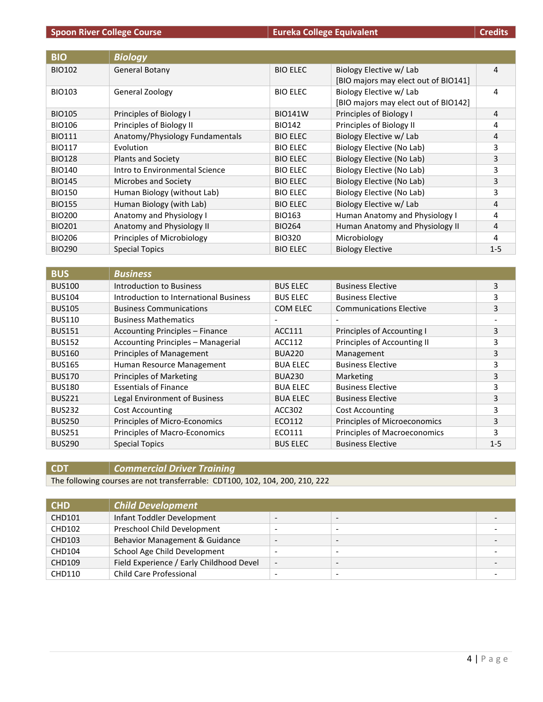| <b>BIO</b>    | <b>Biology</b>                  |                 |                                      |         |
|---------------|---------------------------------|-----------------|--------------------------------------|---------|
| <b>BIO102</b> | General Botany                  | <b>BIO ELEC</b> | Biology Elective w/ Lab              | 4       |
|               |                                 |                 | [BIO majors may elect out of BIO141] |         |
| <b>BIO103</b> | <b>General Zoology</b>          | <b>BIO ELEC</b> | Biology Elective w/ Lab              | 4       |
|               |                                 |                 | [BIO majors may elect out of BIO142] |         |
| <b>BIO105</b> | Principles of Biology I         | <b>BIO141W</b>  | Principles of Biology I              | 4       |
| <b>BIO106</b> | Principles of Biology II        | <b>BIO142</b>   | Principles of Biology II             | 4       |
| <b>BIO111</b> | Anatomy/Physiology Fundamentals | <b>BIO ELEC</b> | Biology Elective w/ Lab              | 4       |
| <b>BIO117</b> | Evolution                       | <b>BIO ELEC</b> | Biology Elective (No Lab)            | 3       |
| <b>BIO128</b> | <b>Plants and Society</b>       | <b>BIO ELEC</b> | Biology Elective (No Lab)            | 3       |
| <b>BIO140</b> | Intro to Environmental Science  | <b>BIO ELEC</b> | Biology Elective (No Lab)            | 3       |
| <b>BIO145</b> | Microbes and Society            | <b>BIO ELEC</b> | Biology Elective (No Lab)            | 3       |
| <b>BIO150</b> | Human Biology (without Lab)     | <b>BIO ELEC</b> | Biology Elective (No Lab)            | 3       |
| <b>BIO155</b> | Human Biology (with Lab)        | <b>BIO ELEC</b> | Biology Elective w/ Lab              | 4       |
| <b>BIO200</b> | Anatomy and Physiology I        | BIO163          | Human Anatomy and Physiology I       | 4       |
| <b>BIO201</b> | Anatomy and Physiology II       | <b>BIO264</b>   | Human Anatomy and Physiology II      | 4       |
| <b>BIO206</b> | Principles of Microbiology      | <b>BIO320</b>   | Microbiology                         | 4       |
| <b>BIO290</b> | <b>Special Topics</b>           | <b>BIO ELEC</b> | <b>Biology Elective</b>              | $1 - 5$ |

| <b>BUS</b>    | <b>Business</b>                        |                          |                                |         |
|---------------|----------------------------------------|--------------------------|--------------------------------|---------|
| <b>BUS100</b> | Introduction to Business               | <b>BUS ELEC</b>          | <b>Business Elective</b>       | 3       |
| <b>BUS104</b> | Introduction to International Business | <b>BUS ELEC</b>          | <b>Business Elective</b>       | 3       |
| <b>BUS105</b> | <b>Business Communications</b>         | COM ELEC                 | <b>Communications Elective</b> | 3       |
| <b>BUS110</b> | <b>Business Mathematics</b>            | $\overline{\phantom{a}}$ |                                |         |
| <b>BUS151</b> | <b>Accounting Principles - Finance</b> | ACC111                   | Principles of Accounting I     | 3       |
| <b>BUS152</b> | Accounting Principles - Managerial     | ACC112                   | Principles of Accounting II    | 3       |
| <b>BUS160</b> | Principles of Management               | <b>BUA220</b>            | Management                     | 3       |
| <b>BUS165</b> | Human Resource Management              | <b>BUA ELEC</b>          | <b>Business Elective</b>       | 3       |
| <b>BUS170</b> | <b>Principles of Marketing</b>         | <b>BUA230</b>            | Marketing                      | 3       |
| <b>BUS180</b> | <b>Essentials of Finance</b>           | <b>BUA ELEC</b>          | <b>Business Elective</b>       | 3       |
| <b>BUS221</b> | Legal Environment of Business          | <b>BUA ELEC</b>          | <b>Business Elective</b>       | 3       |
| <b>BUS232</b> | <b>Cost Accounting</b>                 | ACC302                   | <b>Cost Accounting</b>         | 3       |
| <b>BUS250</b> | Principles of Micro-Economics          | ECO112                   | Principles of Microeconomics   | 3       |
| <b>BUS251</b> | Principles of Macro-Economics          | ECO111                   | Principles of Macroeconomics   | 3       |
| <b>BUS290</b> | <b>Special Topics</b>                  | <b>BUS ELEC</b>          | <b>Business Elective</b>       | $1 - 5$ |

**CDT** *Commercial Driver Training*

The following courses are not transferrable: CDT100, 102, 104, 200, 210, 222

| <b>CHD</b>    | <b>Child Development</b>                 |                          |                          |  |
|---------------|------------------------------------------|--------------------------|--------------------------|--|
| <b>CHD101</b> | Infant Toddler Development               | $\overline{\phantom{0}}$ |                          |  |
| <b>CHD102</b> | Preschool Child Development              | $\overline{\phantom{a}}$ | $\overline{\phantom{a}}$ |  |
| <b>CHD103</b> | Behavior Management & Guidance           | $\overline{\phantom{a}}$ | $\overline{\phantom{0}}$ |  |
| <b>CHD104</b> | School Age Child Development             | $\overline{\phantom{a}}$ | $\overline{\phantom{0}}$ |  |
| <b>CHD109</b> | Field Experience / Early Childhood Devel | $\overline{\phantom{a}}$ |                          |  |
| CHD110        | <b>Child Care Professional</b>           |                          |                          |  |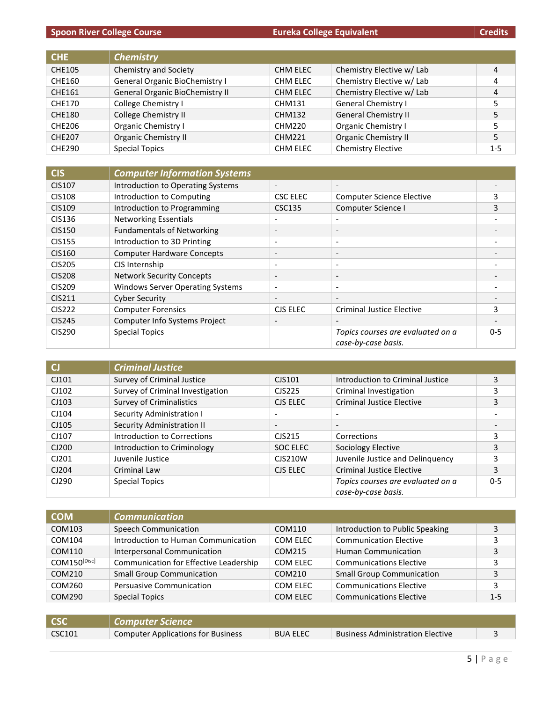| Spoon River College Course | Eureka College Equivalent | Credits |
|----------------------------|---------------------------|---------|
|----------------------------|---------------------------|---------|

| CHE.          | <b>Chemistry</b>                |                 |                             |         |
|---------------|---------------------------------|-----------------|-----------------------------|---------|
| <b>CHE105</b> | Chemistry and Society           | <b>CHM ELEC</b> | Chemistry Elective w/ Lab   | 4       |
| CHE160        | General Organic BioChemistry I  | CHM ELEC        | Chemistry Elective w/ Lab   | 4       |
| <b>CHE161</b> | General Organic BioChemistry II | <b>CHM ELEC</b> | Chemistry Elective w/ Lab   | 4       |
| <b>CHE170</b> | College Chemistry I             | CHM131          | <b>General Chemistry I</b>  | 5       |
| <b>CHE180</b> | College Chemistry II            | <b>CHM132</b>   | <b>General Chemistry II</b> | 5       |
| CHE206        | Organic Chemistry I             | CHM220          | <b>Organic Chemistry I</b>  | 5       |
| <b>CHE207</b> | <b>Organic Chemistry II</b>     | <b>CHM221</b>   | <b>Organic Chemistry II</b> | 5       |
| <b>CHE290</b> | <b>Special Topics</b>           | CHM ELEC        | <b>Chemistry Elective</b>   | $1 - 5$ |

| <b>CIS</b>    | <b>Computer Information Systems</b>     |                          |                                                          |         |
|---------------|-----------------------------------------|--------------------------|----------------------------------------------------------|---------|
| <b>CIS107</b> | Introduction to Operating Systems       | $\overline{\phantom{0}}$ |                                                          |         |
| <b>CIS108</b> | Introduction to Computing               | CSC ELEC                 | <b>Computer Science Elective</b>                         | 3       |
| <b>CIS109</b> | Introduction to Programming             | CSC135                   | Computer Science I                                       | 3       |
| CIS136        | <b>Networking Essentials</b>            | $\overline{\phantom{a}}$ |                                                          |         |
| <b>CIS150</b> | <b>Fundamentals of Networking</b>       | $\overline{\phantom{a}}$ | $\overline{\phantom{a}}$                                 |         |
| <b>CIS155</b> | Introduction to 3D Printing             | $\overline{\phantom{a}}$ | $\overline{\phantom{0}}$                                 |         |
| CIS160        | <b>Computer Hardware Concepts</b>       | $\overline{\phantom{a}}$ | $\qquad \qquad \blacksquare$                             |         |
| <b>CIS205</b> | CIS Internship                          | $\overline{\phantom{a}}$ | $\overline{\phantom{a}}$                                 |         |
| <b>CIS208</b> | <b>Network Security Concepts</b>        | $\overline{\phantom{a}}$ | $\overline{\phantom{0}}$                                 |         |
| <b>CIS209</b> | <b>Windows Server Operating Systems</b> | $\overline{\phantom{a}}$ | $\overline{a}$                                           |         |
| <b>CIS211</b> | <b>Cyber Security</b>                   | $\overline{\phantom{a}}$ |                                                          |         |
| <b>CIS222</b> | <b>Computer Forensics</b>               | CJS ELEC                 | <b>Criminal Justice Elective</b>                         | 3       |
| <b>CIS245</b> | Computer Info Systems Project           | $\overline{\phantom{a}}$ |                                                          |         |
| <b>CIS290</b> | <b>Special Topics</b>                   |                          | Topics courses are evaluated on a<br>case-by-case basis. | $0 - 5$ |

| C     | <b>Criminal Justice</b>          |                          |                                                          |         |
|-------|----------------------------------|--------------------------|----------------------------------------------------------|---------|
| CJ101 | Survey of Criminal Justice       | CJS101                   | Introduction to Criminal Justice                         | 3       |
| CJ102 | Survey of Criminal Investigation | CJS225                   | Criminal Investigation                                   |         |
| CJ103 | <b>Survey of Criminalistics</b>  | CJS ELEC                 | <b>Criminal Justice Elective</b>                         | 3       |
| CJ104 | Security Administration I        | $\overline{\phantom{a}}$ |                                                          |         |
| CJ105 | Security Administration II       | $\overline{\phantom{a}}$ |                                                          |         |
| CJ107 | Introduction to Corrections      | CJS215                   | Corrections                                              | 3       |
| CJ200 | Introduction to Criminology      | SOC ELEC                 | Sociology Elective                                       | 3       |
| CJ201 | Juvenile Justice                 | <b>CJS210W</b>           | Juvenile Justice and Delinquency                         | 3       |
| CJ204 | Criminal Law                     | CJS ELEC                 | <b>Criminal Justice Elective</b>                         | 3       |
| CJ290 | <b>Special Topics</b>            |                          | Topics courses are evaluated on a<br>case-by-case basis. | $0 - 5$ |

| <b>COM</b>        | <b>Communication</b>                   |          |                                  |         |
|-------------------|----------------------------------------|----------|----------------------------------|---------|
| COM103            | <b>Speech Communication</b>            | COM110   | Introduction to Public Speaking  | 3       |
| COM104            | Introduction to Human Communication    | COM ELEC | <b>Communication Elective</b>    |         |
| COM110            | Interpersonal Communication            | COM215   | <b>Human Communication</b>       | 3       |
| $COM150^{[Disc]}$ | Communication for Effective Leadership | COM ELEC | <b>Communications Elective</b>   | 3       |
| COM210            | <b>Small Group Communication</b>       | COM210   | <b>Small Group Communication</b> | 3       |
| COM260            | <b>Persuasive Communication</b>        | COM ELEC | <b>Communications Elective</b>   | 3       |
| COM290            | <b>Special Topics</b>                  | COM ELEC | <b>Communications Elective</b>   | $1 - 5$ |

| <b>CSC</b> | ll Computer Science l                     |                 |                                         |  |
|------------|-------------------------------------------|-----------------|-----------------------------------------|--|
| CSC101     | <b>Computer Applications for Business</b> | <b>BUA ELEC</b> | <b>Business Administration Elective</b> |  |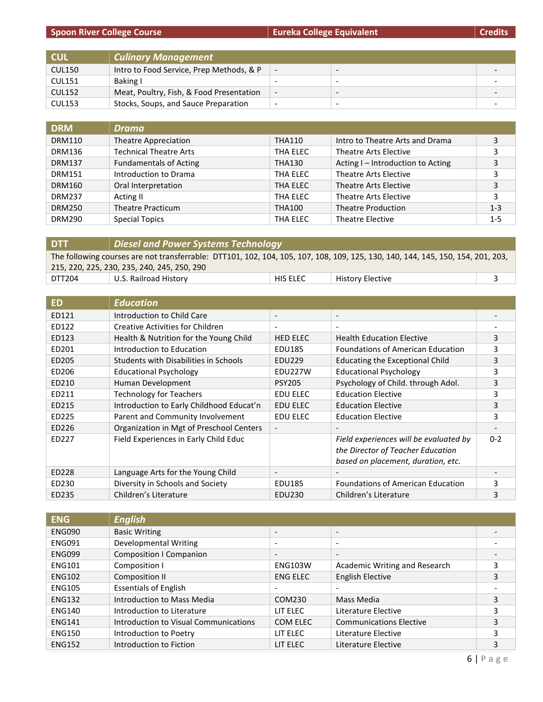# **Spoon River College Course Eureta College** Equivalent

|  | <b>Credits</b> |
|--|----------------|
|  |                |
|  |                |

| <b>CUL</b>    | <b>Culinary Management</b>               |                          |                          |  |
|---------------|------------------------------------------|--------------------------|--------------------------|--|
| <b>CUL150</b> | Intro to Food Service, Prep Methods, & P |                          | $\overline{\phantom{0}}$ |  |
| <b>CUL151</b> | Baking I                                 |                          | -                        |  |
| <b>CUL152</b> | Meat, Poultry, Fish, & Food Presentation | $\overline{\phantom{a}}$ | $\overline{\phantom{0}}$ |  |
| <b>CUL153</b> | Stocks, Soups, and Sauce Preparation     | -                        | $\overline{\phantom{0}}$ |  |

| <b>DRM</b>    | Drama                         |               |                                   |         |
|---------------|-------------------------------|---------------|-----------------------------------|---------|
| <b>DRM110</b> | Theatre Appreciation          | THA110        | Intro to Theatre Arts and Drama   | 3       |
| <b>DRM136</b> | <b>Technical Theatre Arts</b> | THA ELEC      | Theatre Arts Elective             | 3       |
| <b>DRM137</b> | <b>Fundamentals of Acting</b> | <b>THA130</b> | Acting I - Introduction to Acting | 3       |
| <b>DRM151</b> | Introduction to Drama         | THA ELEC      | Theatre Arts Elective             | 3       |
| <b>DRM160</b> | Oral Interpretation           | THA ELEC      | Theatre Arts Elective             | 3       |
| <b>DRM237</b> | Acting II                     | THA ELEC      | Theatre Arts Elective             | 3       |
| <b>DRM250</b> | <b>Theatre Practicum</b>      | <b>THA100</b> | <b>Theatre Production</b>         | $1 - 3$ |
| <b>DRM290</b> | <b>Special Topics</b>         | THA ELEC      | <b>Theatre Elective</b>           | $1 - 5$ |

| 215, 220, 225, 230, 235, 240, 245, 250, 290 |                 |                                     |                                                                                                                                 |  |
|---------------------------------------------|-----------------|-------------------------------------|---------------------------------------------------------------------------------------------------------------------------------|--|
| U.S. Railroad History                       | <b>HIS ELEC</b> | <b>History Elective</b>             |                                                                                                                                 |  |
|                                             |                 | Diesel and Power Systems Technology | The following courses are not transferrable: DTT101, 102, 104, 105, 107, 108, 109, 125, 130, 140, 144, 145, 150, 154, 201, 203, |  |

| <b>ED</b> | Education                                |                          |                                          |         |
|-----------|------------------------------------------|--------------------------|------------------------------------------|---------|
| ED121     | Introduction to Child Care               | $\overline{\phantom{a}}$ | $\overline{\phantom{a}}$                 |         |
| ED122     | Creative Activities for Children         | $\overline{\phantom{a}}$ | $\overline{\phantom{a}}$                 |         |
| ED123     | Health & Nutrition for the Young Child   | <b>HED ELEC</b>          | <b>Health Education Elective</b>         | 3       |
| ED201     | Introduction to Education                | <b>EDU185</b>            | <b>Foundations of American Education</b> | 3       |
| ED205     | Students with Disabilities in Schools    | <b>EDU229</b>            | <b>Educating the Exceptional Child</b>   | 3       |
| ED206     | <b>Educational Psychology</b>            | EDU227W                  | <b>Educational Psychology</b>            | 3       |
| ED210     | Human Development                        | <b>PSY205</b>            | Psychology of Child. through Adol.       | 3       |
| ED211     | <b>Technology for Teachers</b>           | <b>EDU ELEC</b>          | <b>Education Elective</b>                | 3       |
| ED215     | Introduction to Early Childhood Educat'n | <b>EDU ELEC</b>          | <b>Education Elective</b>                | 3       |
| ED225     | Parent and Community Involvement         | <b>EDU ELEC</b>          | <b>Education Elective</b>                | 3       |
| ED226     | Organization in Mgt of Preschool Centers | $\overline{\phantom{a}}$ |                                          |         |
| ED227     | Field Experiences in Early Child Educ    |                          | Field experiences will be evaluated by   | $0 - 2$ |
|           |                                          |                          | the Director of Teacher Education        |         |
|           |                                          |                          | based on placement, duration, etc.       |         |
| ED228     | Language Arts for the Young Child        |                          |                                          |         |
| ED230     | Diversity in Schools and Society         | <b>EDU185</b>            | <b>Foundations of American Education</b> | 3       |
| ED235     | Children's Literature                    | EDU230                   | Children's Literature                    | 3       |

| <b>ENG</b>    | <b>English</b>                        |                          |                                |   |
|---------------|---------------------------------------|--------------------------|--------------------------------|---|
| <b>ENG090</b> | <b>Basic Writing</b>                  | $\overline{\phantom{a}}$ | $\overline{\phantom{0}}$       |   |
| <b>ENG091</b> | Developmental Writing                 | $\overline{\phantom{a}}$ | $\overline{\phantom{a}}$       |   |
| <b>ENG099</b> | <b>Composition I Companion</b>        | $\overline{\phantom{0}}$ | $\overline{\phantom{0}}$       |   |
| <b>ENG101</b> | Composition I                         | ENG103W                  | Academic Writing and Research  | 3 |
| <b>ENG102</b> | Composition II                        | <b>ENG ELEC</b>          | <b>English Elective</b>        | 3 |
| <b>ENG105</b> | <b>Essentials of English</b>          | $\overline{\phantom{a}}$ |                                |   |
| <b>ENG132</b> | Introduction to Mass Media            | COM230                   | Mass Media                     | 3 |
| <b>ENG140</b> | Introduction to Literature            | LIT ELEC                 | Literature Elective            | 3 |
| <b>ENG141</b> | Introduction to Visual Communications | COM ELEC                 | <b>Communications Elective</b> | 3 |
| <b>ENG150</b> | Introduction to Poetry                | LIT ELEC                 | Literature Elective            | 3 |
| <b>ENG152</b> | Introduction to Fiction               | LIT ELEC                 | Literature Elective            |   |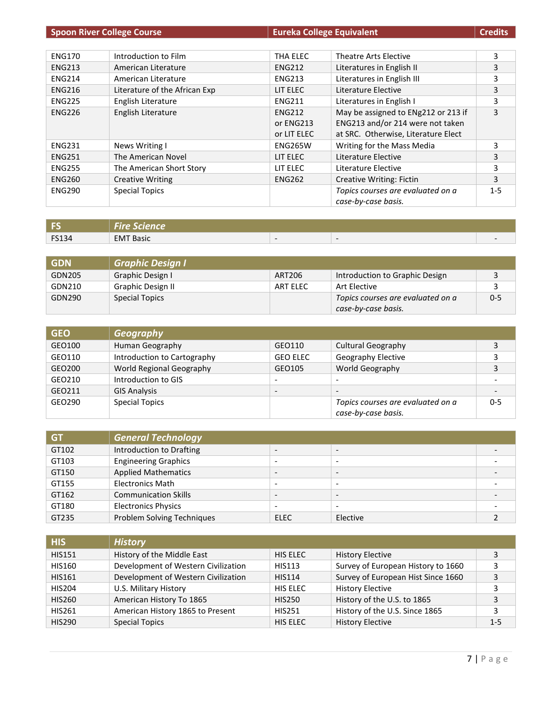| <b>Spoon River College Course</b> |                               | <b>Eureka College Equivalent</b> |                                     | <b>Credits</b> |
|-----------------------------------|-------------------------------|----------------------------------|-------------------------------------|----------------|
|                                   |                               |                                  |                                     |                |
| <b>ENG170</b>                     | Introduction to Film          | THA ELEC                         | Theatre Arts Elective               | 3              |
| <b>ENG213</b>                     | American Literature           | <b>ENG212</b>                    | Literatures in English II           | 3              |
| <b>ENG214</b>                     | American Literature           | <b>ENG213</b>                    | Literatures in English III          | 3              |
| <b>ENG216</b>                     | Literature of the African Exp | LIT ELEC                         | Literature Elective                 | 3              |
| <b>ENG225</b>                     | English Literature            | <b>ENG211</b>                    | Literatures in English I            | 3              |
| <b>ENG226</b>                     | English Literature            | <b>ENG212</b>                    | May be assigned to ENg212 or 213 if | 3              |
|                                   |                               | or ENG213                        | ENG213 and/or 214 were not taken    |                |
|                                   |                               | or LIT ELEC                      | at SRC. Otherwise, Literature Elect |                |
| <b>ENG231</b>                     | News Writing I                | <b>ENG265W</b>                   | Writing for the Mass Media          | 3              |
| <b>ENG251</b>                     | The American Novel            | LIT ELEC                         | Literature Elective                 | 3              |
| <b>ENG255</b>                     | The American Short Story      | LIT ELEC                         | Literature Elective                 | 3              |
| <b>ENG260</b>                     | <b>Creative Writing</b>       | <b>ENG262</b>                    | <b>Creative Writing: Fictin</b>     | 3              |
| <b>ENG290</b>                     | <b>Special Topics</b>         |                                  | Topics courses are evaluated on a   | $1 - 5$        |
|                                   |                               |                                  | case-by-case basis.                 |                |

|              | l Fire Science   |                                                                                                                                                                                               |                          |  |
|--------------|------------------|-----------------------------------------------------------------------------------------------------------------------------------------------------------------------------------------------|--------------------------|--|
| <b>FS134</b> | <b>EMT Basic</b> | $\hskip1.6pt\hskip1.6pt\hskip1.6pt\hskip1.6pt\hskip1.6pt\hskip1.6pt\hskip1.6pt\hskip1.6pt\hskip1.6pt\hskip1.6pt\hskip1.6pt\hskip1.6pt\hskip1.6pt\hskip1.6pt\hskip1.6pt\hskip1.6pt\hskip1.6pt$ | $\overline{\phantom{a}}$ |  |

| <b>GDN</b> | <b>Graphic Design I</b>  |          |                                   |         |
|------------|--------------------------|----------|-----------------------------------|---------|
| GDN205     | Graphic Design I         | ART206   | Introduction to Graphic Design    |         |
| GDN210     | <b>Graphic Design II</b> | ART ELEC | Art Elective                      |         |
| GDN290     | <b>Special Topics</b>    |          | Topics courses are evaluated on a | $0 - 5$ |
|            |                          |          | case-by-case basis.               |         |

| <b>GEO</b> | <b>Geography</b>            |                          |                                                          |         |
|------------|-----------------------------|--------------------------|----------------------------------------------------------|---------|
| GEO100     | Human Geography             | GEO110                   | <b>Cultural Geography</b>                                | 3       |
| GEO110     | Introduction to Cartography | <b>GEO ELEC</b>          | Geography Elective                                       | 3       |
| GEO200     | World Regional Geography    | GEO105                   | World Geography                                          | 3       |
| GEO210     | Introduction to GIS         | $\overline{\phantom{0}}$ | $\overline{\phantom{0}}$                                 | -       |
| GEO211     | <b>GIS Analysis</b>         | $\overline{\phantom{a}}$ | $\overline{\phantom{a}}$                                 | -       |
| GEO290     | <b>Special Topics</b>       |                          | Topics courses are evaluated on a<br>case-by-case basis. | $0 - 5$ |

| <b>GT</b> | General Technology          |                          |                          |  |
|-----------|-----------------------------|--------------------------|--------------------------|--|
| GT102     | Introduction to Drafting    | $\overline{\phantom{0}}$ | $\overline{\phantom{a}}$ |  |
| GT103     | <b>Engineering Graphics</b> | $\overline{\phantom{0}}$ | $\overline{\phantom{0}}$ |  |
| GT150     | <b>Applied Mathematics</b>  | $\overline{\phantom{a}}$ | $\overline{\phantom{a}}$ |  |
| GT155     | <b>Electronics Math</b>     | $\overline{\phantom{0}}$ | $\overline{\phantom{a}}$ |  |
| GT162     | <b>Communication Skills</b> | $\overline{\phantom{0}}$ | $\overline{\phantom{a}}$ |  |
| GT180     | <b>Electronics Physics</b>  | $\overline{\phantom{a}}$ | $\overline{\phantom{0}}$ |  |
| GT235     | Problem Solving Techniques  | <b>ELEC</b>              | Elective                 |  |

| <b>HIS</b>    | <b>History</b>                      |               |                                    |         |
|---------------|-------------------------------------|---------------|------------------------------------|---------|
| <b>HIS151</b> | History of the Middle East          | HIS ELEC      | <b>History Elective</b>            | 3       |
| <b>HIS160</b> | Development of Western Civilization | <b>HIS113</b> | Survey of European History to 1660 | 3       |
| <b>HIS161</b> | Development of Western Civilization | <b>HIS114</b> | Survey of European Hist Since 1660 | 3       |
| <b>HIS204</b> | U.S. Military History               | HIS ELEC      | <b>History Elective</b>            | 3       |
| <b>HIS260</b> | American History To 1865            | <b>HIS250</b> | History of the U.S. to 1865        | 3       |
| <b>HIS261</b> | American History 1865 to Present    | <b>HIS251</b> | History of the U.S. Since 1865     | 3       |
| <b>HIS290</b> | <b>Special Topics</b>               | HIS ELEC      | <b>History Elective</b>            | $1 - 5$ |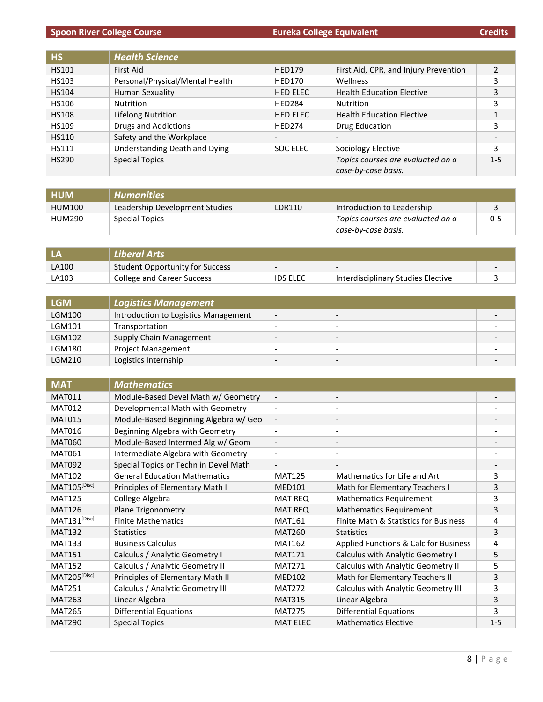# **Spoon River College Course Eureta College** Equivalent

|  | <b>Credits</b> |
|--|----------------|
|  |                |
|  |                |

| <b>HS</b>    | <b>Health Science</b>           |                          |                                       |         |
|--------------|---------------------------------|--------------------------|---------------------------------------|---------|
| <b>HS101</b> | First Aid                       | <b>HED179</b>            | First Aid, CPR, and Injury Prevention |         |
| HS103        | Personal/Physical/Mental Health | <b>HED170</b>            | <b>Wellness</b>                       | 3       |
| <b>HS104</b> | Human Sexuality                 | <b>HED ELEC</b>          | <b>Health Education Elective</b>      | 3       |
| <b>HS106</b> | Nutrition                       | <b>HED284</b>            | Nutrition                             | 3       |
| <b>HS108</b> | Lifelong Nutrition              | <b>HED ELEC</b>          | <b>Health Education Elective</b>      |         |
| <b>HS109</b> | Drugs and Addictions            | <b>HED274</b>            | Drug Education                        | 3       |
| <b>HS110</b> | Safety and the Workplace        | $\overline{\phantom{a}}$ | $\overline{\phantom{a}}$              |         |
| HS111        | Understanding Death and Dying   | SOC ELEC                 | Sociology Elective                    | 3       |
| <b>HS290</b> | <b>Special Topics</b>           |                          | Topics courses are evaluated on a     | $1 - 5$ |
|              |                                 |                          | case-by-case basis.                   |         |

| <b>HUM</b>    | <b>Humanities</b>              |        |                                   |         |
|---------------|--------------------------------|--------|-----------------------------------|---------|
| <b>HUM100</b> | Leadership Development Studies | LDR110 | Introduction to Leadership        |         |
| <b>HUM290</b> | Special Topics                 |        | Topics courses are evaluated on a | $0 - 5$ |
|               |                                |        | case-by-case basis.               |         |

|       | Liberal Arts                    |                                                                                                                                                                                                                                                                                                                                                               |                                                                                                                                                                                                                                                                                                                                                               |  |
|-------|---------------------------------|---------------------------------------------------------------------------------------------------------------------------------------------------------------------------------------------------------------------------------------------------------------------------------------------------------------------------------------------------------------|---------------------------------------------------------------------------------------------------------------------------------------------------------------------------------------------------------------------------------------------------------------------------------------------------------------------------------------------------------------|--|
| LA100 | Student Opportunity for Success | $\hskip1.6pt\hskip1.6pt\hskip1.6pt\hskip1.6pt\hskip1.6pt\hskip1.6pt\hskip1.6pt\hskip1.6pt\hskip1.6pt\hskip1.6pt\hskip1.6pt\hskip1.6pt\hskip1.6pt\hskip1.6pt\hskip1.6pt\hskip1.6pt\hskip1.6pt\hskip1.6pt\hskip1.6pt\hskip1.6pt\hskip1.6pt\hskip1.6pt\hskip1.6pt\hskip1.6pt\hskip1.6pt\hskip1.6pt\hskip1.6pt\hskip1.6pt\hskip1.6pt\hskip1.6pt\hskip1.6pt\hskip$ | $\hskip1.6pt\hskip1.6pt\hskip1.6pt\hskip1.6pt\hskip1.6pt\hskip1.6pt\hskip1.6pt\hskip1.6pt\hskip1.6pt\hskip1.6pt\hskip1.6pt\hskip1.6pt\hskip1.6pt\hskip1.6pt\hskip1.6pt\hskip1.6pt\hskip1.6pt\hskip1.6pt\hskip1.6pt\hskip1.6pt\hskip1.6pt\hskip1.6pt\hskip1.6pt\hskip1.6pt\hskip1.6pt\hskip1.6pt\hskip1.6pt\hskip1.6pt\hskip1.6pt\hskip1.6pt\hskip1.6pt\hskip$ |  |
| LA103 | College and Career Success      | <b>IDS ELEC</b>                                                                                                                                                                                                                                                                                                                                               | Interdisciplinary Studies Elective                                                                                                                                                                                                                                                                                                                            |  |

| <b>LGM</b> | <b>Logistics Management</b>          |                          |                                                                                                                                                                                                                                                                                                                                                               |  |
|------------|--------------------------------------|--------------------------|---------------------------------------------------------------------------------------------------------------------------------------------------------------------------------------------------------------------------------------------------------------------------------------------------------------------------------------------------------------|--|
| LGM100     | Introduction to Logistics Management | $\overline{\phantom{0}}$ | $\hskip1.6pt\hskip1.6pt\hskip1.6pt\hskip1.6pt\hskip1.6pt\hskip1.6pt\hskip1.6pt\hskip1.6pt\hskip1.6pt\hskip1.6pt\hskip1.6pt\hskip1.6pt\hskip1.6pt\hskip1.6pt\hskip1.6pt\hskip1.6pt\hskip1.6pt\hskip1.6pt\hskip1.6pt\hskip1.6pt\hskip1.6pt\hskip1.6pt\hskip1.6pt\hskip1.6pt\hskip1.6pt\hskip1.6pt\hskip1.6pt\hskip1.6pt\hskip1.6pt\hskip1.6pt\hskip1.6pt\hskip$ |  |
| LGM101     | Transportation                       | $\overline{\phantom{0}}$ | -                                                                                                                                                                                                                                                                                                                                                             |  |
| LGM102     | Supply Chain Management              | $\overline{\phantom{a}}$ | -                                                                                                                                                                                                                                                                                                                                                             |  |
| LGM180     | <b>Project Management</b>            | $\overline{\phantom{a}}$ | ۰                                                                                                                                                                                                                                                                                                                                                             |  |
| LGM210     | Logistics Internship                 | $\overline{\phantom{a}}$ |                                                                                                                                                                                                                                                                                                                                                               |  |

| <b>MAT</b>        | <b>Mathematics</b>                    |                          |                                       |         |
|-------------------|---------------------------------------|--------------------------|---------------------------------------|---------|
| <b>MAT011</b>     | Module-Based Devel Math w/ Geometry   | $\overline{\phantom{a}}$ | $\overline{\phantom{a}}$              |         |
| <b>MAT012</b>     | Developmental Math with Geometry      | $\overline{\phantom{a}}$ | $\overline{\phantom{a}}$              |         |
| <b>MAT015</b>     | Module-Based Beginning Algebra w/ Geo | $\overline{\phantom{a}}$ | $\overline{\phantom{a}}$              |         |
| <b>MAT016</b>     | Beginning Algebra with Geometry       | $\overline{\phantom{a}}$ | $\qquad \qquad \blacksquare$          |         |
| <b>MAT060</b>     | Module-Based Intermed Alg w/ Geom     | $\overline{\phantom{a}}$ | $\overline{\phantom{a}}$              |         |
| <b>MAT061</b>     | Intermediate Algebra with Geometry    | $\blacksquare$           | $\overline{\phantom{a}}$              |         |
| <b>MAT092</b>     | Special Topics or Techn in Devel Math | $\overline{\phantom{a}}$ | $\overline{\phantom{a}}$              |         |
| <b>MAT102</b>     | <b>General Education Mathematics</b>  | <b>MAT125</b>            | Mathematics for Life and Art          | 3       |
| MAT105[Disc]      | Principles of Elementary Math I       | <b>MED101</b>            | Math for Elementary Teachers I        | 3       |
| <b>MAT125</b>     | College Algebra                       | <b>MAT REQ</b>           | <b>Mathematics Requirement</b>        | 3       |
| <b>MAT126</b>     | <b>Plane Trigonometry</b>             | <b>MAT REQ</b>           | <b>Mathematics Requirement</b>        | 3       |
| $MAT131^{[Disc]}$ | <b>Finite Mathematics</b>             | <b>MAT161</b>            | Finite Math & Statistics for Business | 4       |
| <b>MAT132</b>     | <b>Statistics</b>                     | <b>MAT260</b>            | <b>Statistics</b>                     | 3       |
| <b>MAT133</b>     | <b>Business Calculus</b>              | <b>MAT162</b>            | Applied Functions & Calc for Business | 4       |
| <b>MAT151</b>     | Calculus / Analytic Geometry I        | <b>MAT171</b>            | Calculus with Analytic Geometry I     | 5       |
| <b>MAT152</b>     | Calculus / Analytic Geometry II       | <b>MAT271</b>            | Calculus with Analytic Geometry II    | 5       |
| MAT205[Disc]      | Principles of Elementary Math II      | <b>MED102</b>            | Math for Elementary Teachers II       | 3       |
| <b>MAT251</b>     | Calculus / Analytic Geometry III      | <b>MAT272</b>            | Calculus with Analytic Geometry III   | 3       |
| <b>MAT263</b>     | Linear Algebra                        | <b>MAT315</b>            | Linear Algebra                        | 3       |
| <b>MAT265</b>     | <b>Differential Equations</b>         | <b>MAT275</b>            | <b>Differential Equations</b>         | 3       |
| <b>MAT290</b>     | <b>Special Topics</b>                 | <b>MAT ELEC</b>          | <b>Mathematics Elective</b>           | $1 - 5$ |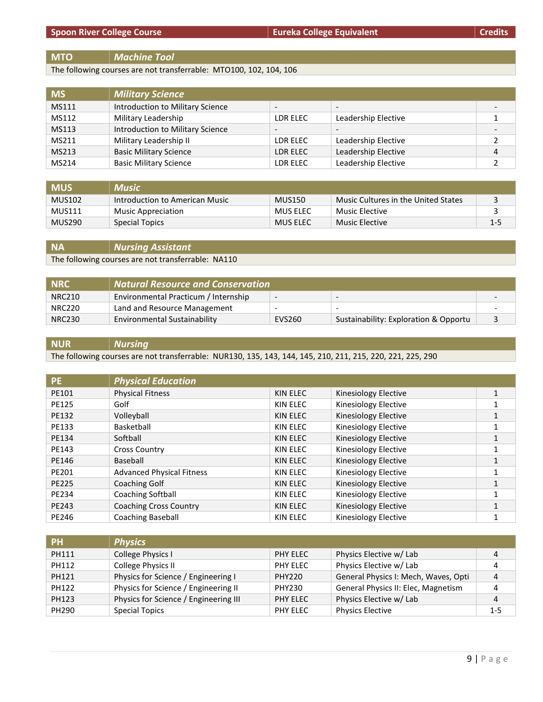## **MTO** *Machine Tool*

The following courses are not transferrable: MTO100, 102, 104, 106

| <b>MS</b> | <b>Military Science</b>          |                          |                     |                          |
|-----------|----------------------------------|--------------------------|---------------------|--------------------------|
| MS111     | Introduction to Military Science | $\overline{\phantom{a}}$ |                     | $\overline{\phantom{0}}$ |
| MS112     | Military Leadership              | LDR ELEC                 | Leadership Elective |                          |
| MS113     | Introduction to Military Science | $\overline{\phantom{a}}$ |                     | $\overline{\phantom{0}}$ |
| MS211     | Military Leadership II           | LDR ELEC                 | Leadership Elective | $\mathcal{D}$            |
| MS213     | <b>Basic Military Science</b>    | LDR ELEC                 | Leadership Elective | 4                        |
| MS214     | <b>Basic Military Science</b>    | LDR ELEC                 | Leadership Elective |                          |

| <b>MUS</b>    | <b>Music</b>                   |               |                                     |         |
|---------------|--------------------------------|---------------|-------------------------------------|---------|
| MUS102        | Introduction to American Music | <b>MUS150</b> | Music Cultures in the United States |         |
| <b>MUS111</b> | Music Appreciation             | MUS ELEC      | Music Elective                      |         |
| MUS290        | Special Topics                 | MUS ELEC      | Music Elective                      | $1 - 5$ |

**NA** *Nursing Assistant* The following courses are not transferrable: NA110

| <b>INRC</b>   | <b>Natural Resource and Conservation</b> |                          |                                       |  |
|---------------|------------------------------------------|--------------------------|---------------------------------------|--|
| <b>NRC210</b> | Environmental Practicum / Internship     | $\overline{\phantom{a}}$ | -                                     |  |
| <b>NRC220</b> | Land and Resource Management             | -                        |                                       |  |
| <b>NRC230</b> | Environmental Sustainability             | EVS260                   | Sustainability: Exploration & Opportu |  |

## **NUR** *Nursing*

The following courses are not transferrable: NUR130, 135, 143, 144, 145, 210, 211, 215, 220, 221, 225, 290

| <b>PE</b>    | <b>Physical Education</b>        |          |                      |   |
|--------------|----------------------------------|----------|----------------------|---|
| PE101        | <b>Physical Fitness</b>          | KIN ELEC | Kinesiology Elective |   |
| <b>PE125</b> | Golf                             | KIN ELEC | Kinesiology Elective | 1 |
| PE132        | Volleyball                       | KIN ELEC | Kinesiology Elective | 1 |
| PE133        | Basketball                       | KIN ELEC | Kinesiology Elective |   |
| PE134        | Softball                         | KIN ELEC | Kinesiology Elective |   |
| PE143        | <b>Cross Country</b>             | KIN ELEC | Kinesiology Elective | 1 |
| PE146        | Baseball                         | KIN ELEC | Kinesiology Elective | 1 |
| PE201        | <b>Advanced Physical Fitness</b> | KIN ELEC | Kinesiology Elective | 1 |
| <b>PE225</b> | Coaching Golf                    | KIN ELEC | Kinesiology Elective | 1 |
| PE234        | Coaching Softball                | KIN ELEC | Kinesiology Elective | 1 |
| PE243        | <b>Coaching Cross Country</b>    | KIN ELEC | Kinesiology Elective |   |
| PE246        | <b>Coaching Baseball</b>         | KIN ELEC | Kinesiology Elective |   |

| 7 PH/ | <b>Physics</b>                        |               |                                      |         |
|-------|---------------------------------------|---------------|--------------------------------------|---------|
| PH111 | College Physics I                     | PHY ELEC      | Physics Elective w/ Lab              | 4       |
| PH112 | College Physics II                    | PHY ELEC      | Physics Elective w/ Lab              | 4       |
| PH121 | Physics for Science / Engineering I   | <b>PHY220</b> | General Physics I: Mech, Waves, Opti | 4       |
| PH122 | Physics for Science / Engineering II  | PHY230        | General Physics II: Elec, Magnetism  | 4       |
| PH123 | Physics for Science / Engineering III | PHY ELEC      | Physics Elective w/ Lab              | 4       |
| PH290 | <b>Special Topics</b>                 | PHY ELEC      | <b>Physics Elective</b>              | $1 - 5$ |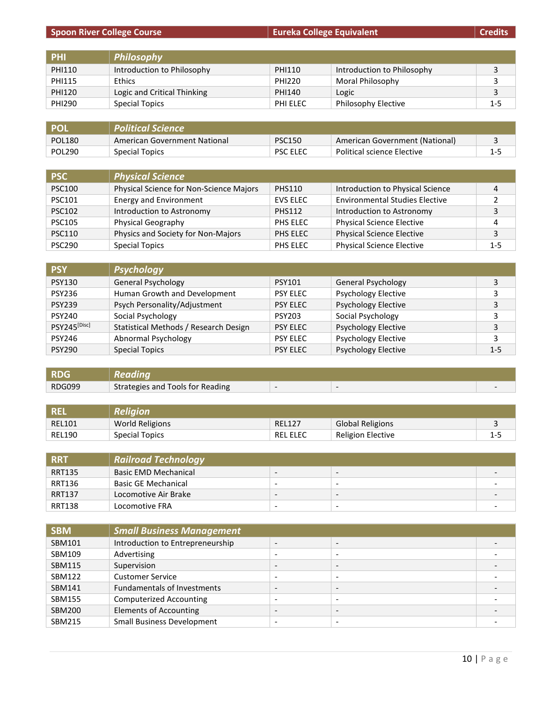|  |  | Spoon River College Course ' |
|--|--|------------------------------|
|  |  |                              |

**Spoon River College Course Eureka College Equivalent Credits**

| <b>Credits</b> |  |
|----------------|--|
|                |  |

| PHI           | Philosophy                  |          |                            |     |
|---------------|-----------------------------|----------|----------------------------|-----|
| <b>PHI110</b> | Introduction to Philosophy  | PHI110   | Introduction to Philosophy |     |
| <b>PHI115</b> | <b>Ethics</b>               | PHI220   | Moral Philosophy           |     |
| <b>PHI120</b> | Logic and Critical Thinking | PHI140   | Logic                      |     |
| PHI290        | Special Topics              | PHI ELEC | Philosophy Elective        | 1-5 |

| <b>POI</b>    | <b>Political Science</b>     |                 |                                   |         |
|---------------|------------------------------|-----------------|-----------------------------------|---------|
| <b>POL180</b> | American Government National | <b>PSC150</b>   | American Government (National)    |         |
| <b>POL290</b> | Special Topics               | <b>PSC ELEC</b> | <b>Political science Elective</b> | $1 - 5$ |

| <b>PSC</b>    | <b>Physical Science</b>                 |                 |                                       |              |
|---------------|-----------------------------------------|-----------------|---------------------------------------|--------------|
| <b>PSC100</b> | Physical Science for Non-Science Majors | <b>PHS110</b>   | Introduction to Physical Science      | 4            |
| <b>PSC101</b> | <b>Energy and Environment</b>           | <b>EVS ELEC</b> | <b>Environmental Studies Elective</b> | <sup>2</sup> |
| <b>PSC102</b> | Introduction to Astronomy               | <b>PHS112</b>   | Introduction to Astronomy             | 3            |
| <b>PSC105</b> | Physical Geography                      | PHS ELEC        | <b>Physical Science Elective</b>      | 4            |
| <b>PSC110</b> | Physics and Society for Non-Majors      | PHS ELEC        | <b>Physical Science Elective</b>      | 3            |
| <b>PSC290</b> | <b>Special Topics</b>                   | PHS ELEC        | <b>Physical Science Elective</b>      | $1 - 5$      |

| <b>PSY</b>    | <b>Psychology</b>                     |                 |                            |         |
|---------------|---------------------------------------|-----------------|----------------------------|---------|
| <b>PSY130</b> | <b>General Psychology</b>             | <b>PSY101</b>   | <b>General Psychology</b>  |         |
| <b>PSY236</b> | Human Growth and Development          | <b>PSY ELEC</b> | Psychology Elective        | 3       |
| <b>PSY239</b> | Psych Personality/Adjustment          | <b>PSY ELEC</b> | <b>Psychology Elective</b> |         |
| <b>PSY240</b> | Social Psychology                     | <b>PSY203</b>   | Social Psychology          | 3       |
| PSY245[Disc]  | Statistical Methods / Research Design | <b>PSY ELEC</b> | <b>Psychology Elective</b> | 3       |
| <b>PSY246</b> | Abnormal Psychology                   | <b>PSY ELEC</b> | <b>Psychology Elective</b> | 3       |
| <b>PSY290</b> | <b>Special Topics</b>                 | <b>PSY ELEC</b> | <b>Psychology Elective</b> | $1 - 5$ |

| <b>RDG</b> | <b>Reading</b>                   |                          |  |
|------------|----------------------------------|--------------------------|--|
| RDG099     | Strategies and Tools for Reading | $\overline{\phantom{a}}$ |  |

| REL           | $\bm{\mathit{Religion}^{\dagger}}$ |                 |                          |     |
|---------------|------------------------------------|-----------------|--------------------------|-----|
| <b>REL101</b> | <b>World Religions</b>             | <b>REL127</b>   | <b>Global Religions</b>  |     |
| <b>REL190</b> | Special Topics                     | <b>REL ELEC</b> | <b>Religion Elective</b> | 1-5 |

| <b>RRT</b>    | <b>Railroad Technology</b> |                          |                          |                          |
|---------------|----------------------------|--------------------------|--------------------------|--------------------------|
| <b>RRT135</b> | Basic EMD Mechanical       | $\overline{\phantom{a}}$ | $\overline{\phantom{a}}$ | -                        |
| <b>RRT136</b> | <b>Basic GE Mechanical</b> | $\overline{\phantom{a}}$ | -                        |                          |
| <b>RRT137</b> | Locomotive Air Brake       | $\overline{\phantom{0}}$ | -                        | -                        |
| <b>RRT138</b> | Locomotive FRA             | -                        | -                        | $\overline{\phantom{0}}$ |

| <b>SBM</b>    | <b>Small Business Management</b>   |                          |   |  |
|---------------|------------------------------------|--------------------------|---|--|
| SBM101        | Introduction to Entrepreneurship   | $\overline{\phantom{a}}$ | - |  |
| SBM109        | Advertising                        | $\overline{\phantom{0}}$ |   |  |
| SBM115        | Supervision                        | $\overline{\phantom{a}}$ |   |  |
| <b>SBM122</b> | <b>Customer Service</b>            | $\overline{\phantom{a}}$ |   |  |
| SBM141        | <b>Fundamentals of Investments</b> | $\overline{\phantom{a}}$ |   |  |
| <b>SBM155</b> | Computerized Accounting            | $\overline{\phantom{0}}$ |   |  |
| <b>SBM200</b> | <b>Elements of Accounting</b>      | $\overline{\phantom{a}}$ |   |  |
| <b>SBM215</b> | <b>Small Business Development</b>  | $\overline{\phantom{0}}$ |   |  |